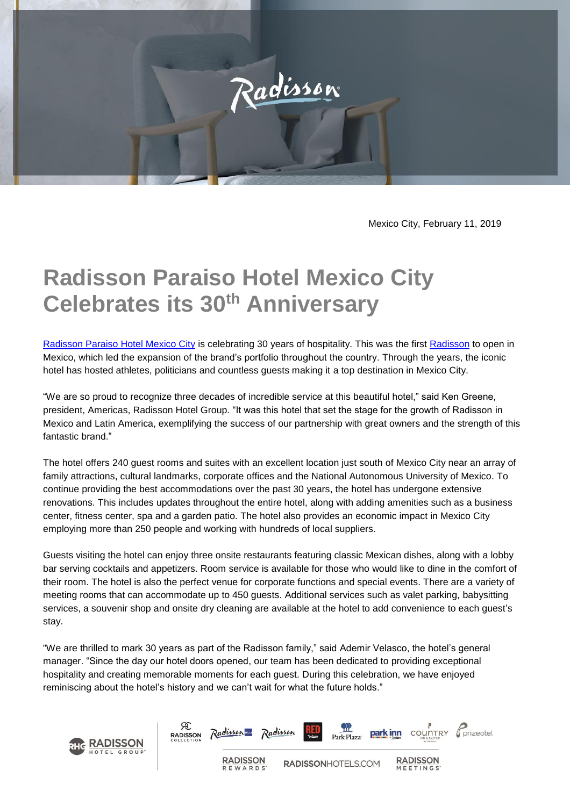

Mexico City, February 11, 2019

## **Radisson Paraiso Hotel Mexico City Celebrates its 30th Anniversary**

[Radisson Paraiso Hotel Mexico City](https://www.radisson.com/mexico-city-hotel-mx-14010/mexicoci) is celebrating 30 years of hospitality. This was the first [Radisson](https://www.radisson.com/) to open in Mexico, which led the expansion of the brand's portfolio throughout the country. Through the years, the iconic hotel has hosted athletes, politicians and countless guests making it a top destination in Mexico City.

"We are so proud to recognize three decades of incredible service at this beautiful hotel," said Ken Greene, president, Americas, Radisson Hotel Group. "It was this hotel that set the stage for the growth of Radisson in Mexico and Latin America, exemplifying the success of our partnership with great owners and the strength of this fantastic brand."

The hotel offers 240 guest rooms and suites with an excellent location just south of Mexico City near an array of family attractions, cultural landmarks, corporate offices and the National Autonomous University of Mexico. To continue providing the best accommodations over the past 30 years, the hotel has undergone extensive renovations. This includes updates throughout the entire hotel, along with adding amenities such as a business center, fitness center, spa and a garden patio. The hotel also provides an economic impact in Mexico City employing more than 250 people and working with hundreds of local suppliers.

Guests visiting the hotel can enjoy three onsite restaurants featuring classic Mexican dishes, along with a lobby bar serving cocktails and appetizers. Room service is available for those who would like to dine in the comfort of their room. The hotel is also the perfect venue for corporate functions and special events. There are a variety of meeting rooms that can accommodate up to 450 guests. Additional services such as valet parking, babysitting services, a souvenir shop and onsite dry cleaning are available at the hotel to add convenience to each guest's stay.

"We are thrilled to mark 30 years as part of the Radisson family," said Ademir Velasco, the hotel's general manager. "Since the day our hotel doors opened, our team has been dedicated to providing exceptional hospitality and creating memorable moments for each guest. During this celebration, we have enjoyed reminiscing about the hotel's history and we can't wait for what the future holds."